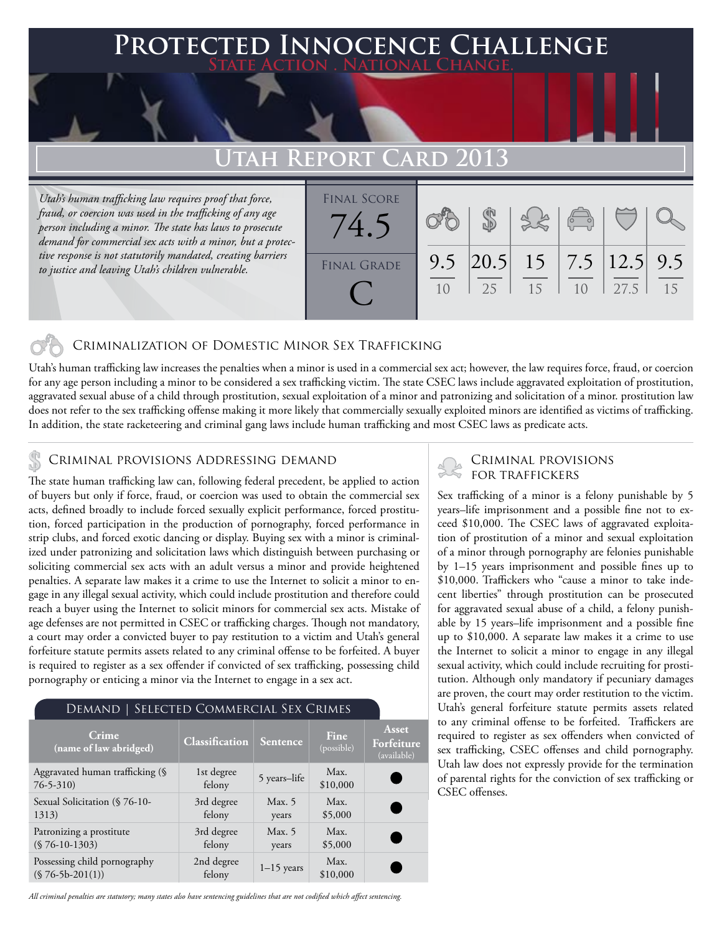### **PTED INNOCENCE CHALLENGE State Action . National Change.**

## **Utah Report Card 2013**

*Utah's human trafficking law requires proof that force, fraud, or coercion was used in the trafficking of any age person including a minor. The state has laws to prosecute demand for commercial sex acts with a minor, but a protective response is not statutorily mandated, creating barriers to justice and leaving Utah's children vulnerable.* 

| <b>FINAL SCORE</b><br>74.' |     |    |    | $\sqrt{2}$ |      |    |
|----------------------------|-----|----|----|------------|------|----|
| <b>FINAL GRADE</b>         | 9.5 | 25 | 15 |            | 27.5 | 15 |

### Criminalization of Domestic Minor Sex Trafficking

Utah's human trafficking law increases the penalties when a minor is used in a commercial sex act; however, the law requires force, fraud, or coercion for any age person including a minor to be considered a sex trafficking victim. The state CSEC laws include aggravated exploitation of prostitution, aggravated sexual abuse of a child through prostitution, sexual exploitation of a minor and patronizing and solicitation of a minor. prostitution law does not refer to the sex trafficking offense making it more likely that commercially sexually exploited minors are identified as victims of trafficking. In addition, the state racketeering and criminal gang laws include human trafficking and most CSEC laws as predicate acts.

# CRIMINAL PROVISIONS ADDRESSING DEMAND<br>FOR TRAFFICKERS

The state human trafficking law can, following federal precedent, be applied to action of buyers but only if force, fraud, or coercion was used to obtain the commercial sex acts, defined broadly to include forced sexually explicit performance, forced prostitution, forced participation in the production of pornography, forced performance in strip clubs, and forced exotic dancing or display. Buying sex with a minor is criminalized under patronizing and solicitation laws which distinguish between purchasing or soliciting commercial sex acts with an adult versus a minor and provide heightened penalties. A separate law makes it a crime to use the Internet to solicit a minor to engage in any illegal sexual activity, which could include prostitution and therefore could reach a buyer using the Internet to solicit minors for commercial sex acts. Mistake of age defenses are not permitted in CSEC or trafficking charges. Though not mandatory, a court may order a convicted buyer to pay restitution to a victim and Utah's general forfeiture statute permits assets related to any criminal offense to be forfeited. A buyer is required to register as a sex offender if convicted of sex trafficking, possessing child pornography or enticing a minor via the Internet to engage in a sex act.

| DEMAND   SELECTED COMMERCIAL SEX CRIMES           |                       |                   |                           |                                    |  |  |  |  |
|---------------------------------------------------|-----------------------|-------------------|---------------------------|------------------------------------|--|--|--|--|
| <b>Crime</b><br>(name of law abridged)            | <b>Classification</b> | <b>Sentence</b>   | <b>Fine</b><br>(possible) | Asset<br>Forfeiture<br>(available) |  |  |  |  |
| Aggravated human trafficking (§<br>$76 - 5 - 310$ | 1st degree<br>felony  | 5 years-life      | Max.<br>\$10,000          |                                    |  |  |  |  |
| Sexual Solicitation (§ 76-10-<br>1313)            | 3rd degree<br>felony  | Max. $5$<br>years | Max.<br>\$5,000           | $\blacksquare$                     |  |  |  |  |
| Patronizing a prostitute<br>$(S 76-10-1303)$      | 3rd degree<br>felony  | Max. $5$<br>years | Max.<br>\$5,000           |                                    |  |  |  |  |
| Possessing child pornography<br>$($76-5b-201(1))$ | 2nd degree<br>felony  | $1-15$ years      | Max.<br>\$10,000          |                                    |  |  |  |  |

# Criminal provisions

Sex trafficking of a minor is a felony punishable by 5 years–life imprisonment and a possible fine not to exceed \$10,000. The CSEC laws of aggravated exploitation of prostitution of a minor and sexual exploitation of a minor through pornography are felonies punishable by 1–15 years imprisonment and possible fines up to \$10,000. Traffickers who "cause a minor to take indecent liberties" through prostitution can be prosecuted for aggravated sexual abuse of a child, a felony punishable by 15 years–life imprisonment and a possible fine up to \$10,000. A separate law makes it a crime to use the Internet to solicit a minor to engage in any illegal sexual activity, which could include recruiting for prostitution. Although only mandatory if pecuniary damages are proven, the court may order restitution to the victim. Utah's general forfeiture statute permits assets related to any criminal offense to be forfeited. Traffickers are required to register as sex offenders when convicted of sex trafficking, CSEC offenses and child pornography. Utah law does not expressly provide for the termination of parental rights for the conviction of sex trafficking or CSEC offenses.

*All criminal penalties are statutory; many states also have sentencing guidelines that are not codified which affect sentencing.*